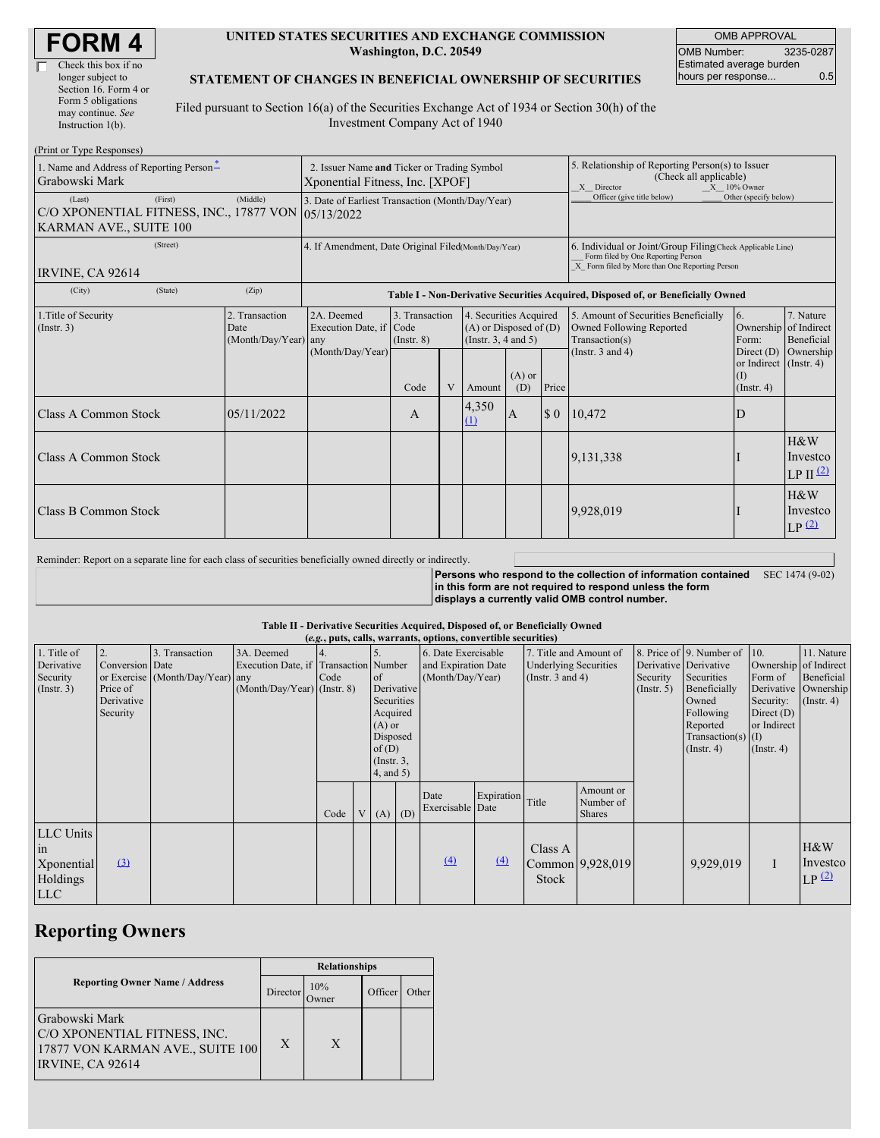#### **UNITED STATES SECURITIES AND EXCHANGE COMMISSION Washington, D.C. 20549**

OMB APPROVAL OMB Number: 3235-0287 Estimated average burden hours per response... 0.5

#### **STATEMENT OF CHANGES IN BENEFICIAL OWNERSHIP OF SECURITIES**

Filed pursuant to Section 16(a) of the Securities Exchange Act of 1934 or Section 30(h) of the Investment Company Act of 1940

| (Print or Type Responses)                                                                         |                                                                                |                                                                                  |                                   |  |                                                                                  |                 |                                                                                                         |                                                                                                                                                    |                                                              |                                           |  |
|---------------------------------------------------------------------------------------------------|--------------------------------------------------------------------------------|----------------------------------------------------------------------------------|-----------------------------------|--|----------------------------------------------------------------------------------|-----------------|---------------------------------------------------------------------------------------------------------|----------------------------------------------------------------------------------------------------------------------------------------------------|--------------------------------------------------------------|-------------------------------------------|--|
| 1. Name and Address of Reporting Person*<br>Grabowski Mark                                        | 2. Issuer Name and Ticker or Trading Symbol<br>Xponential Fitness, Inc. [XPOF] |                                                                                  |                                   |  |                                                                                  |                 | 5. Relationship of Reporting Person(s) to Issuer<br>(Check all applicable)<br>X Director<br>X 10% Owner |                                                                                                                                                    |                                                              |                                           |  |
| (First)<br>(Last)<br>C/O XPONENTIAL FITNESS, INC., 17877 VON 05/13/2022<br>KARMAN AVE., SUITE 100 | 3. Date of Earliest Transaction (Month/Day/Year)                               |                                                                                  |                                   |  |                                                                                  |                 | Officer (give title below)                                                                              | Other (specify below)                                                                                                                              |                                                              |                                           |  |
| (Street)<br><b>IRVINE, CA 92614</b>                                                               |                                                                                | 4. If Amendment, Date Original Filed(Month/Day/Year)                             |                                   |  |                                                                                  |                 |                                                                                                         | 6. Individual or Joint/Group Filing(Check Applicable Line)<br>Form filed by One Reporting Person<br>X Form filed by More than One Reporting Person |                                                              |                                           |  |
| (State)<br>(City)                                                                                 | (Zip)                                                                          | Table I - Non-Derivative Securities Acquired, Disposed of, or Beneficially Owned |                                   |  |                                                                                  |                 |                                                                                                         |                                                                                                                                                    |                                                              |                                           |  |
| 1. Title of Security<br>(Insert. 3)                                                               | 2. Transaction<br>Date<br>(Month/Day/Year) any                                 | 2A. Deemed<br>Execution Date, if Code<br>(Month/Day/Year)                        | 3. Transaction<br>$($ Instr. $8)$ |  | 4. Securities Acquired<br>$(A)$ or Disposed of $(D)$<br>(Instr. $3, 4$ and $5$ ) |                 |                                                                                                         | 5. Amount of Securities Beneficially<br>Owned Following Reported<br>Transaction(s)                                                                 | 6.<br>Ownership of Indirect<br>Form:                         | 7. Nature<br>Beneficial                   |  |
|                                                                                                   |                                                                                |                                                                                  | Code                              |  | Amount                                                                           | $(A)$ or<br>(D) | Price                                                                                                   | (Instr. $3$ and $4$ )                                                                                                                              | Direct $(D)$<br>or Indirect (Instr. 4)<br>(1)<br>(Insert. 4) | Ownership                                 |  |
| <b>Class A Common Stock</b>                                                                       | 05/11/2022                                                                     |                                                                                  | A                                 |  | 4,350<br>$\Omega$                                                                | ΙA.             | $\boldsymbol{\mathsf{S}}$ 0                                                                             | 10,472                                                                                                                                             | D                                                            |                                           |  |
| Class A Common Stock                                                                              |                                                                                |                                                                                  |                                   |  |                                                                                  |                 |                                                                                                         | 9,131,338                                                                                                                                          |                                                              | H&W<br>Investco<br>$LP II$ <sup>(2)</sup> |  |
| <b>Class B Common Stock</b>                                                                       |                                                                                |                                                                                  |                                   |  |                                                                                  |                 |                                                                                                         | 9,928,019                                                                                                                                          |                                                              | H&W<br>Investco<br>LP(2)                  |  |

Reminder: Report on a separate line for each class of securities beneficially owned directly or indirectly.

**Persons who respond to the collection of information contained in this form are not required to respond unless the form displays a currently valid OMB control number.** SEC 1474 (9-02)

#### **Table II - Derivative Securities Acquired, Disposed of, or Beneficially Owned**

|                                                           |                                                       |                                                    |                                                                                      |      |                 |                                                                                                                    |  | (e.g., puts, calls, warrants, options, convertible securities) |            |                                                                                 |                                         |                                                    |                                                                                                                                      |                                                                                                         |                                                                      |
|-----------------------------------------------------------|-------------------------------------------------------|----------------------------------------------------|--------------------------------------------------------------------------------------|------|-----------------|--------------------------------------------------------------------------------------------------------------------|--|----------------------------------------------------------------|------------|---------------------------------------------------------------------------------|-----------------------------------------|----------------------------------------------------|--------------------------------------------------------------------------------------------------------------------------------------|---------------------------------------------------------------------------------------------------------|----------------------------------------------------------------------|
| 1. Title of<br>Derivative<br>Security<br>$($ Instr. 3 $)$ | Conversion Date<br>Price of<br>Derivative<br>Security | 3. Transaction<br>or Exercise (Month/Day/Year) any | 3A. Deemed<br>Execution Date, if Transaction Number<br>$(Month/Day/Year)$ (Instr. 8) | Code |                 | $\circ$ f<br>Derivative<br>Securities<br>Acquired<br>$(A)$ or<br>Disposed<br>of(D)<br>$($ Instr. $3,$<br>4, and 5) |  | 6. Date Exercisable<br>and Expiration Date<br>(Month/Day/Year) |            | 7. Title and Amount of<br><b>Underlying Securities</b><br>(Instr. $3$ and $4$ ) |                                         | Derivative Derivative<br>Security<br>$($ Instr. 5) | 8. Price of 9. Number of<br>Securities<br>Beneficially<br>Owned<br>Following<br>Reported<br>Transaction(s) $(I)$<br>$($ Instr. 4 $)$ | 10.<br>Ownership of Indirect<br>Form of<br>Security:<br>Direct $(D)$<br>or Indirect<br>$($ Instr. 4 $)$ | 11. Nature<br>Beneficial<br>Derivative Ownership<br>$($ Instr. 4 $)$ |
|                                                           |                                                       |                                                    |                                                                                      | Code | $V_{\parallel}$ | $(A)$ $(D)$                                                                                                        |  | Date<br>Exercisable Date                                       | Expiration | Title                                                                           | Amount or<br>Number of<br><b>Shares</b> |                                                    |                                                                                                                                      |                                                                                                         |                                                                      |
| LLC Units<br>1n<br>Xponential<br>Holdings<br><b>LLC</b>   | $\left(3\right)$                                      |                                                    |                                                                                      |      |                 |                                                                                                                    |  | (4)                                                            | (4)        | Class A<br>Stock                                                                | Common 9,928,019                        |                                                    | 9,929,019                                                                                                                            | $\bf{I}$                                                                                                | H&W<br>Investco<br>LP(2)                                             |

# **Reporting Owners**

|                                                                                                        | <b>Relationships</b> |              |         |       |  |  |
|--------------------------------------------------------------------------------------------------------|----------------------|--------------|---------|-------|--|--|
| <b>Reporting Owner Name / Address</b>                                                                  | Director             | 10%<br>Jwner | Officer | Other |  |  |
| Grabowski Mark<br>C/O XPONENTIAL FITNESS, INC.<br>17877 VON KARMAN AVE., SUITE 100<br>IRVINE, CA 92614 | X                    | X            |         |       |  |  |